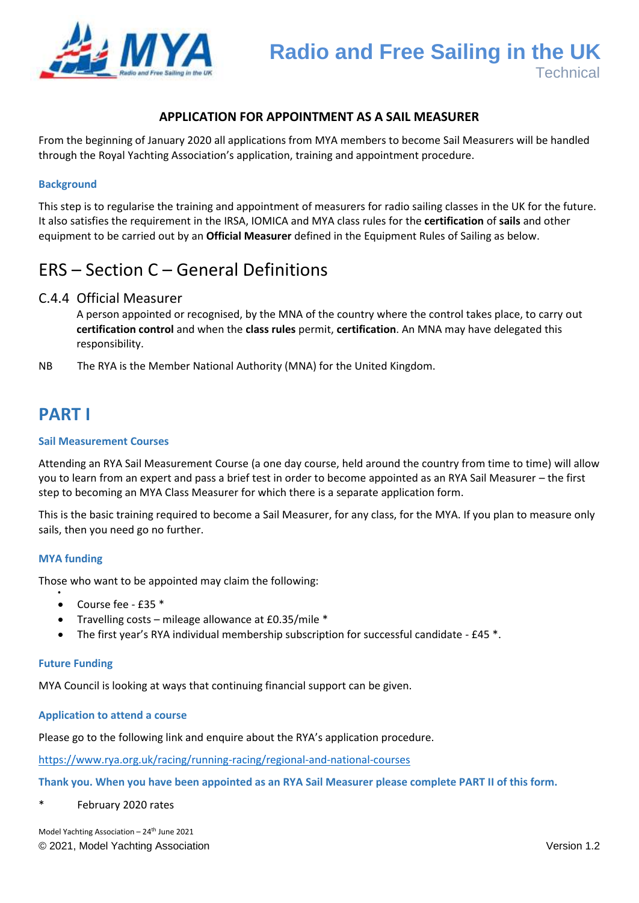

## **APPLICATION FOR APPOINTMENT AS A SAIL MEASURER**

From the beginning of January 2020 all applications from MYA members to become Sail Measurers will be handled through the Royal Yachting Association's application, training and appointment procedure.

### **Background**

This step is to regularise the training and appointment of measurers for radio sailing classes in the UK for the future. It also satisfies the requirement in the IRSA, IOMICA and MYA class rules for the **certification** of **sails** and other equipment to be carried out by an **Official Measurer** defined in the Equipment Rules of Sailing as below.

## ERS – Section C – General Definitions

## C.4.4 Official Measurer

A person appointed or recognised, by the MNA of the country where the control takes place, to carry out **certification control** and when the **class rules** permit, **certification**. An MNA may have delegated this responsibility.

NB The RYA is the Member National Authority (MNA) for the United Kingdom.

## **PART I**

### **Sail Measurement Courses**

Attending an RYA Sail Measurement Course (a one day course, held around the country from time to time) will allow you to learn from an expert and pass a brief test in order to become appointed as an RYA Sail Measurer – the first step to becoming an MYA Class Measurer for which there is a separate application form.

This is the basic training required to become a Sail Measurer, for any class, for the MYA. If you plan to measure only sails, then you need go no further.

#### **MYA funding**

 $\bullet$ 

Those who want to be appointed may claim the following:

- Course fee £35 \*
- Travelling costs mileage allowance at £0.35/mile \*
- The first year's RYA individual membership subscription for successful candidate £45 \*.

#### **Future Funding**

MYA Council is looking at ways that continuing financial support can be given.

#### **Application to attend a course**

Please go to the following link and enquire about the RYA's application procedure.

<https://www.rya.org.uk/racing/running-racing/regional-and-national-courses>

### **Thank you. When you have been appointed as an RYA Sail Measurer please complete PART II of this form.**

\* February 2020 rates

© 2021, Model Yachting Association Version 1.2 Model Yachting Association - 24<sup>th</sup> June 2021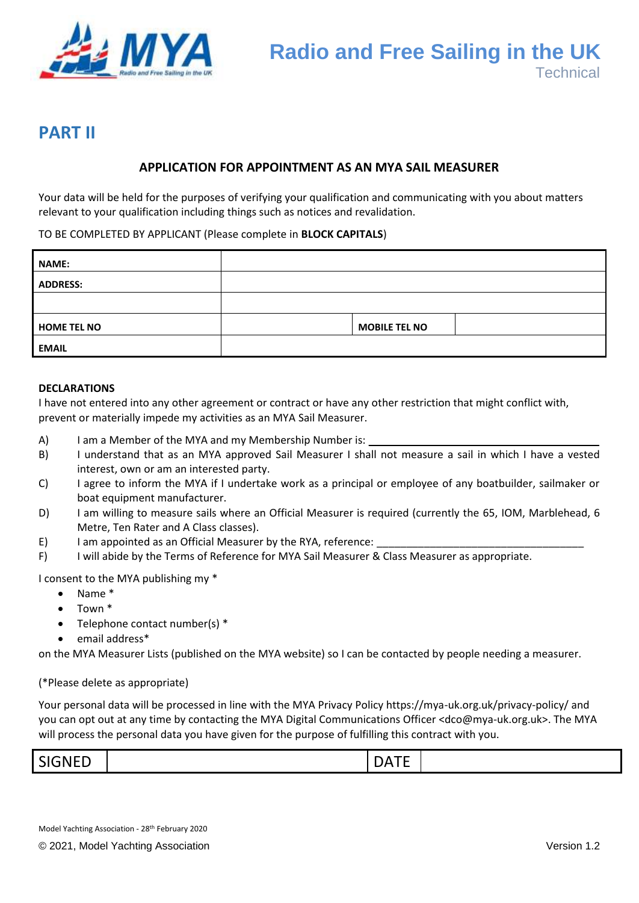

## **PART II**

## **APPLICATION FOR APPOINTMENT AS AN MYA SAIL MEASURER**

Your data will be held for the purposes of verifying your qualification and communicating with you about matters relevant to your qualification including things such as notices and revalidation.

TO BE COMPLETED BY APPLICANT (Please complete in **BLOCK CAPITALS**)

| <b>NAME:</b>       |                      |  |
|--------------------|----------------------|--|
| <b>ADDRESS:</b>    |                      |  |
|                    |                      |  |
| <b>HOME TEL NO</b> | <b>MOBILE TEL NO</b> |  |
| <b>EMAIL</b>       |                      |  |

### **DECLARATIONS**

I have not entered into any other agreement or contract or have any other restriction that might conflict with, prevent or materially impede my activities as an MYA Sail Measurer.

- A) I am a Member of the MYA and my Membership Number is:
- B) I understand that as an MYA approved Sail Measurer I shall not measure a sail in which I have a vested interest, own or am an interested party.
- C) I agree to inform the MYA if I undertake work as a principal or employee of any boatbuilder, sailmaker or boat equipment manufacturer.
- D) I am willing to measure sails where an Official Measurer is required (currently the 65, IOM, Marblehead, 6 Metre, Ten Rater and A Class classes).
- E) I am appointed as an Official Measurer by the RYA, reference:
- F) I will abide by the Terms of Reference for MYA Sail Measurer & Class Measurer as appropriate.

I consent to the MYA publishing my \*

- Name \*
- Town \*
- Telephone contact number(s) \*
- email address\*

on the MYA Measurer Lists (published on the MYA website) so I can be contacted by people needing a measurer.

(\*Please delete as appropriate)

Your personal data will be processed in line with the MYA Privacy Policy https://mya-uk.org.uk/privacy-policy/ and you can opt out at any time by contacting the MYA Digital Communications Officer <dco@mya-uk.org.uk>. The MYA will process the personal data you have given for the purpose of fulfilling this contract with you.

| <b>SIGNED</b><br>--<br>n<br>. . |
|---------------------------------|
|---------------------------------|